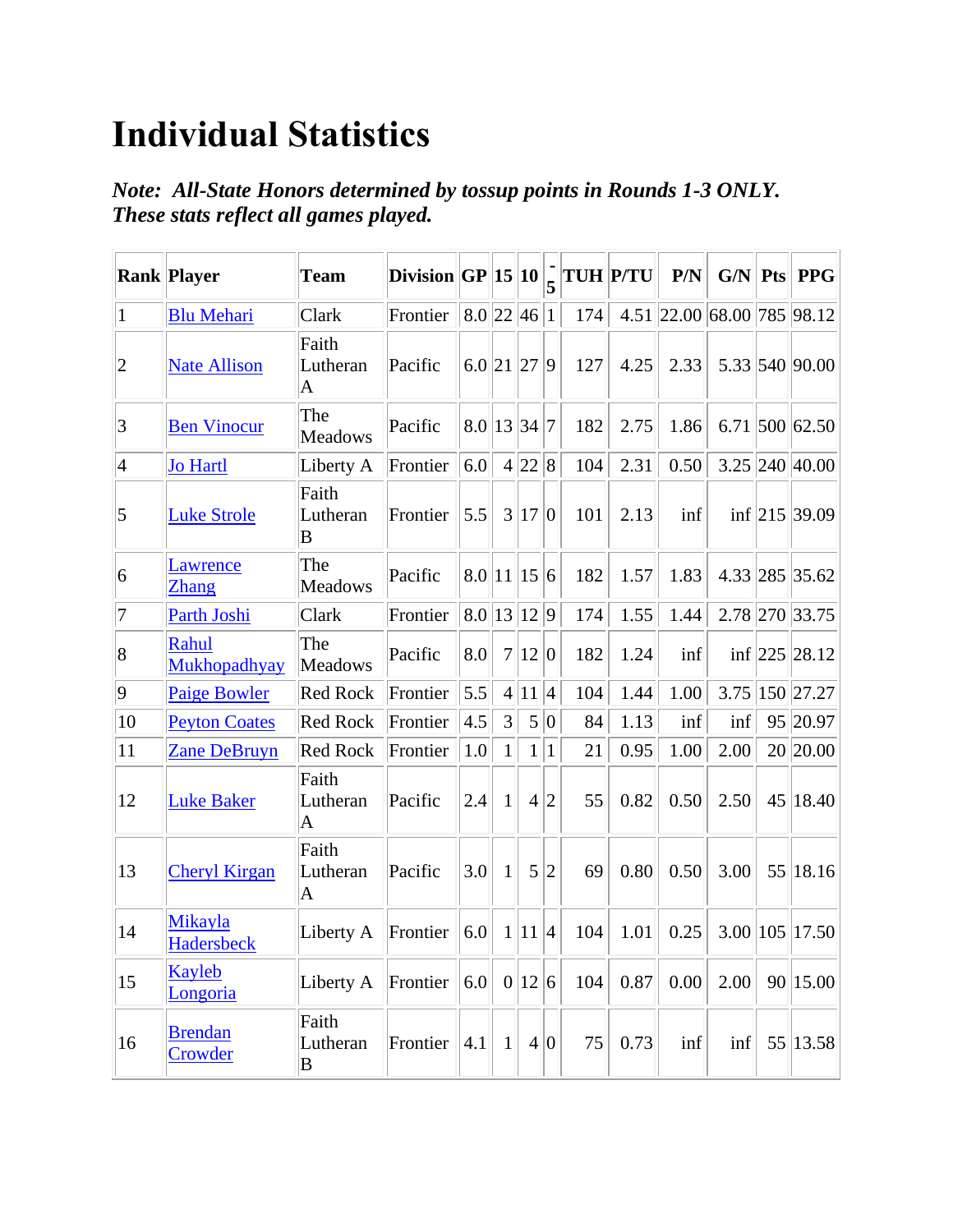## **Individual Statistics**

*Note: All-State Honors determined by tossup points in Rounds 1-3 ONLY. These stats reflect all games played.*

|                 | <b>Rank Player</b>           | <b>Team</b>                            | Division $ GP 15 10 $ |                   |                |                |                 |     | <b>TUH P/TU</b> | P/N  | G/N                        | <b>Pts</b> | <b>PPG</b>        |
|-----------------|------------------------------|----------------------------------------|-----------------------|-------------------|----------------|----------------|-----------------|-----|-----------------|------|----------------------------|------------|-------------------|
| $\vert$ 1       | <b>Blu Mehari</b>            | Clark                                  | Frontier              | $8.0$  22 46      |                |                | $\vert$ 1       | 174 |                 |      | 4.51 22.00 68.00 785 98.12 |            |                   |
| $ 2\rangle$     | <b>Nate Allison</b>          | Faith<br>Lutheran<br>$\bm{\mathsf{A}}$ | Pacific               | $6.0$  21 27      |                |                | $ 9\rangle$     | 127 | 4.25            | 2.33 |                            |            | 5.33 540 90.00    |
| 3               | <b>Ben Vinocur</b>           | The<br><b>Meadows</b>                  | Pacific               | $8.0$   13  34  7 |                |                |                 | 182 | 2.75            | 1.86 |                            |            | $6.71$ 500 62.50  |
| $\vert 4 \vert$ | <b>Jo Hartl</b>              | Liberty A                              | Frontier              | 6.0               |                | 4 22 8         |                 | 104 | 2.31            | 0.50 |                            |            | 3.25 240 40.00    |
| $\overline{5}$  | <b>Luke Strole</b>           | Faith<br>Lutheran<br>$\mathbf B$       | Frontier              | 5.5               | $\overline{3}$ | 17             | $\vert 0 \vert$ | 101 | 2.13            | inf  |                            |            | inf $ 215 39.09 $ |
| 6               | Lawrence<br>Zhang            | The<br><b>Meadows</b>                  | Pacific               | $8.0$   11  15    |                |                | 6               | 182 | 1.57            | 1.83 |                            |            | 4.33 285 35.62    |
| 7               | Parth Joshi                  | Clark                                  | Frontier              | 8.0 13 12         |                |                | $ 9\rangle$     | 174 | 1.55            | 1.44 |                            |            | 2.78 270 33.75    |
| 8               | Rahul<br>Mukhopadhyay        | The<br>Meadows                         | Pacific               | 8.0               | $\overline{7}$ | $ 12\rangle$   | $\overline{0}$  | 182 | 1.24            | inf  |                            |            | $inf$  225  28.12 |
| $ 9\rangle$     | <b>Paige Bowler</b>          | <b>Red Rock</b>                        | Frontier              | 5.5               | $\overline{4}$ | 11             | 4               | 104 | 1.44            | 1.00 | 3.75                       |            | 150 27.27         |
| 10              | <b>Peyton Coates</b>         | <b>Red Rock</b>                        | Frontier              | 4.5               | 3              | 5              | 0               | 84  | 1.13            | inf  | inf                        |            | 95 20.97          |
| 11              | <b>Zane DeBruyn</b>          | <b>Red Rock</b>                        | Frontier              | 1.0               | $\mathbf{1}$   | 1 <sup>1</sup> | $\overline{1}$  | 21  | 0.95            | 1.00 | 2.00                       |            | 20 20.00          |
| 12              | <b>Luke Baker</b>            | Faith<br>Lutheran<br>A                 | Pacific               | 2.4               | 1              | $\overline{4}$ | $\overline{2}$  | 55  | 0.82            | 0.50 | 2.50                       | 45         | 18.40             |
| 13              | <b>Cheryl Kirgan</b>         | Faith<br>Lutheran<br>$\mathbf A$       | Pacific               | 3.0               | $\mathbf{1}$   | 5              | $\overline{2}$  | 69  | 0.80            | 0.50 | 3.00                       | 55         | 18.16             |
| 14              | Mikayla<br><b>Hadersbeck</b> | Liberty A                              | Frontier              | 6.0               | $\mathbf{1}$   | 11 4           |                 | 104 | 1.01            | 0.25 | 3.00                       |            | 105 17.50         |
| 15              | Kayleb<br>Longoria           | Liberty A                              | Frontier              | 6.0               |                | 0 12           | $\vert 6 \vert$ | 104 | 0.87            | 0.00 | 2.00                       |            | 90 15.00          |
| 16              | <b>Brendan</b><br>Crowder    | Faith<br>Lutheran<br>B                 | Frontier              | 4.1               | $\mathbf{1}$   |                | 4 0             | 75  | 0.73            | inf  | $\inf$                     |            | 55 13.58          |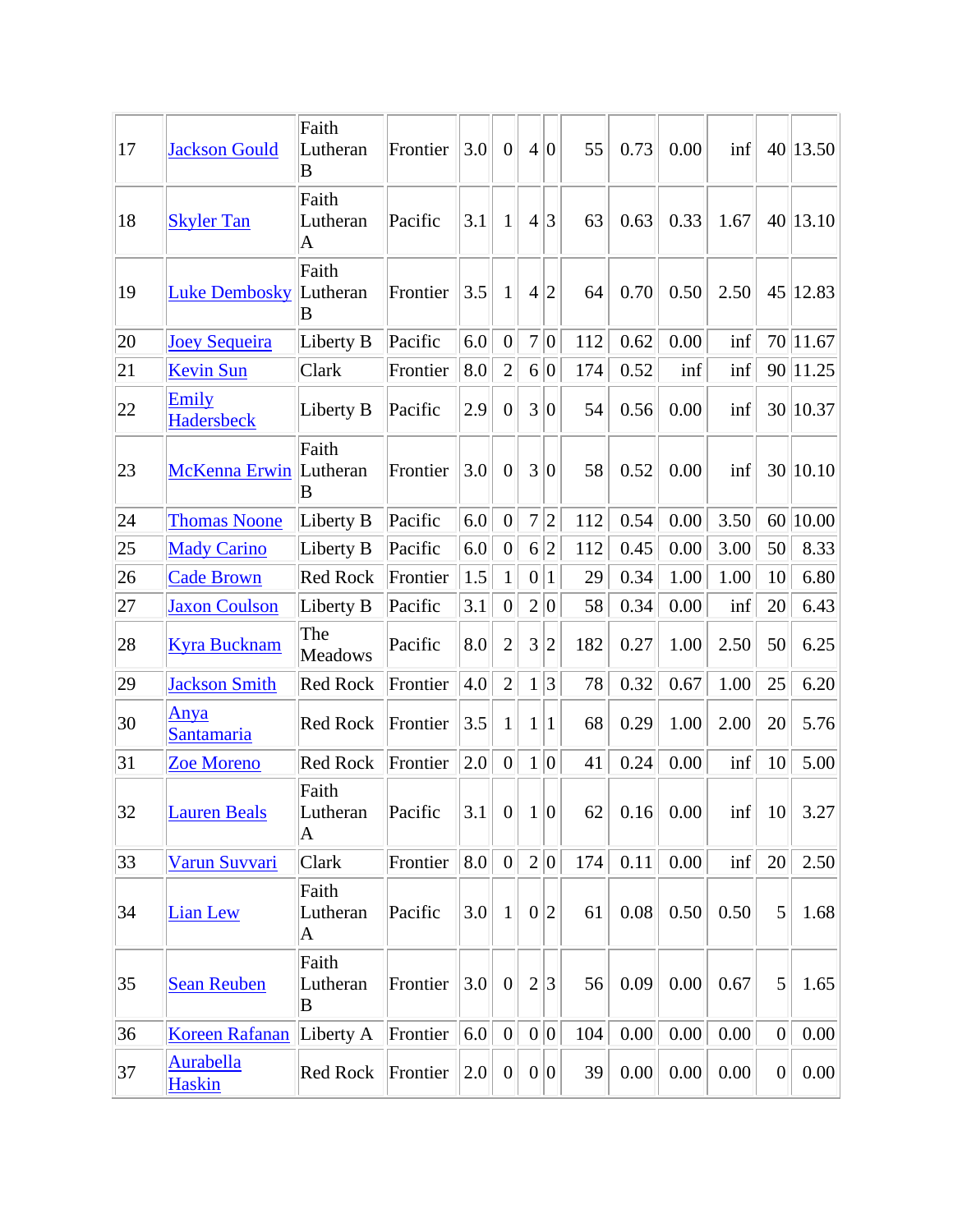| 17 | <b>Jackson Gould</b>              | Faith<br>Lutheran<br>B           | Frontier | 3.0 | $\overline{0}$   | $\overline{4}$   | $\overline{0}$   | 55  | 0.73 | 0.00        | inf  | 40             | 13.50    |
|----|-----------------------------------|----------------------------------|----------|-----|------------------|------------------|------------------|-----|------|-------------|------|----------------|----------|
| 18 | <b>Skyler Tan</b>                 | Faith<br>Lutheran<br>$\bm{A}$    | Pacific  | 3.1 | 1                | $\overline{4}$   | 3                | 63  | 0.63 | 0.33        | 1.67 |                | 40 13.10 |
| 19 | <b>Luke Dembosky</b>              | Faith<br>Lutheran<br>B           | Frontier | 3.5 | 1                | $\overline{4}$   | $\overline{2}$   | 64  | 0.70 | 0.50        | 2.50 | 45             | 12.83    |
| 20 | <b>Joey Sequeira</b>              | Liberty B                        | Pacific  | 6.0 | $\overline{0}$   | $\overline{7}$   | $\overline{0}$   | 112 | 0.62 | 0.00        | inf  |                | 70 11.67 |
| 21 | <b>Kevin Sun</b>                  | Clark                            | Frontier | 8.0 | $\overline{2}$   | $6\vert$         | $\overline{0}$   | 174 | 0.52 | inf         | inf  | 90             | 11.25    |
| 22 | Emily<br><b>Hadersbeck</b>        | Liberty B                        | Pacific  | 2.9 | $\overline{0}$   | 3                | $\boldsymbol{0}$ | 54  | 0.56 | 0.00        | inf  |                | 30 10.37 |
| 23 | McKenna Erwin                     | Faith<br>Lutheran<br>$\mathbf B$ | Frontier | 3.0 | $\overline{0}$   | 3                | $\overline{0}$   | 58  | 0.52 | 0.00        | inf  |                | 30 10.10 |
| 24 | <b>Thomas Noone</b>               | Liberty B                        | Pacific  | 6.0 | $\overline{0}$   | $\overline{7}$   | $\overline{c}$   | 112 | 0.54 | 0.00        | 3.50 |                | 60 10.00 |
| 25 | <b>Mady Carino</b>                | Liberty B                        | Pacific  | 6.0 | $\theta$         | 6                | $\overline{c}$   | 112 | 0.45 | 0.00        | 3.00 | 50             | 8.33     |
| 26 | <b>Cade Brown</b>                 | <b>Red Rock</b>                  | Frontier | 1.5 | $\mathbf{1}$     | $\boldsymbol{0}$ | $\mathbf{1}$     | 29  | 0.34 | 1.00        | 1.00 | 10             | 6.80     |
| 27 | <b>Jaxon Coulson</b>              | Liberty B                        | Pacific  | 3.1 | $\overline{0}$   | $\overline{2}$   | $\overline{0}$   | 58  | 0.34 | 0.00        | inf  | 20             | 6.43     |
| 28 | <b>Kyra Bucknam</b>               | The<br><b>Meadows</b>            | Pacific  | 8.0 | $\overline{2}$   | 3                | $\overline{2}$   | 182 | 0.27 | 1.00        | 2.50 | 50             | 6.25     |
| 29 | <b>Jackson Smith</b>              | <b>Red Rock</b>                  | Frontier | 4.0 | $\overline{2}$   | $\mathbf{1}$     | $\overline{3}$   | 78  | 0.32 | 0.67        | 1.00 | 25             | 6.20     |
| 30 | Anya<br>Santamaria                | Red Rock                         | Frontier | 3.5 | 1                | $\mathbf{1}$     | 1                | 68  | 0.29 | 1.00        | 2.00 | 20             | 5.76     |
| 31 | <b>Zoe Moreno</b>                 | Red Rock                         | Frontier | 2.0 | $\overline{0}$   | $\mathbf{1}$     | 0                | 41  | 0.24 | 0.00        | inf  | 10             | 5.00     |
| 32 | <b>Lauren Beals</b>               | Faith<br>Lutheran<br>$\bm{A}$    | Pacific  | 3.1 | 0                | 1 0              |                  | 62  |      | $0.16$ 0.00 | inf  | 10             | 3.27     |
| 33 | Varun Suvvari                     | Clark                            | Frontier | 8.0 | $\overline{0}$   |                  | 2 0              | 174 | 0.11 | 0.00        | inf  | 20             | 2.50     |
| 34 | <b>Lian Lew</b>                   | Faith<br>Lutheran<br>$\bm{A}$    | Pacific  | 3.0 | $\mathbf{1}$     | $\boldsymbol{0}$ | $\overline{2}$   | 61  | 0.08 | 0.50        | 0.50 | 5              | 1.68     |
| 35 | <b>Sean Reuben</b>                | Faith<br>Lutheran<br>B           | Frontier | 3.0 | $\boldsymbol{0}$ | $\overline{2}$   | 3                | 56  | 0.09 | 0.00        | 0.67 | 5              | 1.65     |
| 36 | <b>Koreen Rafanan</b>             | Liberty A                        | Frontier | 6.0 | $\overline{0}$   |                  | 0 0              | 104 | 0.00 | 0.00        | 0.00 | $\overline{0}$ | 0.00     |
| 37 | <b>Aurabella</b><br><b>Haskin</b> | Red Rock                         | Frontier | 2.0 | $\overline{0}$   |                  | 0 0              | 39  | 0.00 | 0.00        | 0.00 | $\overline{0}$ | 0.00     |